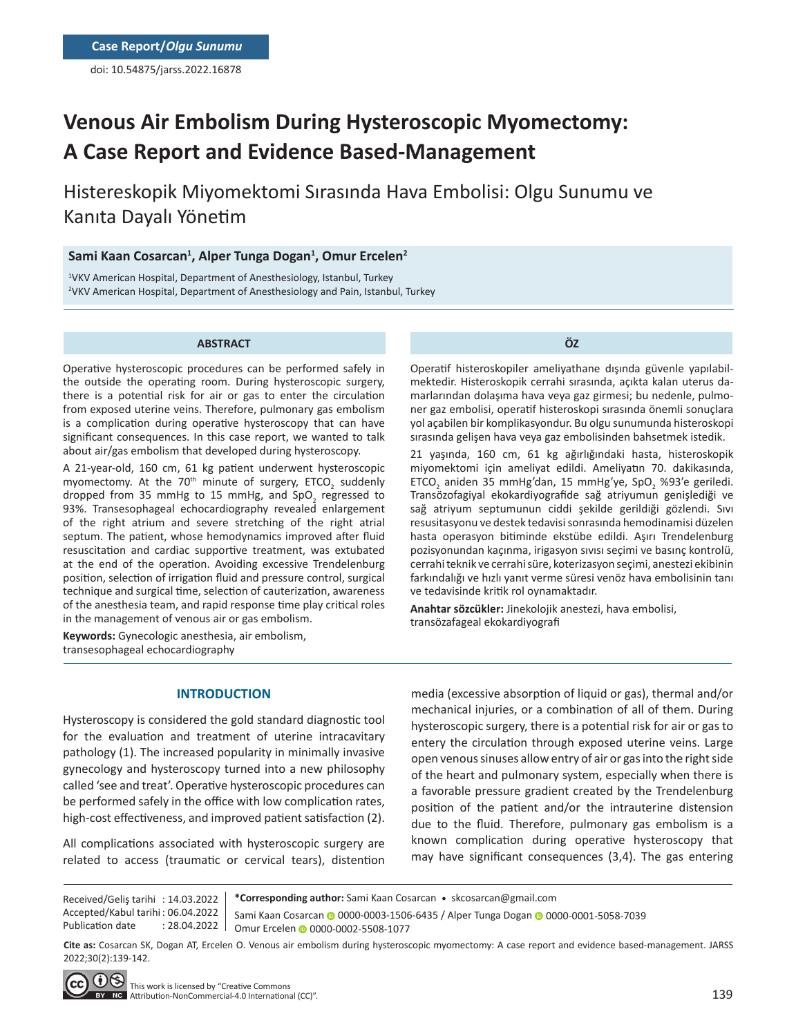doi: 10.54875/jarss.2022.16878

# **Venous Air Embolism During Hysteroscopic Myomectomy: A Case Report and Evidence Based-Management**

Histereskopik Miyomektomi Sırasında Hava Embolisi: Olgu Sunumu ve Kanıta Dayalı Yönetim

## **Sami Kaan Cosarcan1 , Alper Tunga Dogan1 , Omur Ercelen2**

1 VKV American Hospital, Department of Anesthesiology, Istanbul, Turkey 2 VKV American Hospital, Department of Anesthesiology and Pain, Istanbul, Turkey

#### **ABSTRACT**

Operative hysteroscopic procedures can be performed safely in the outside the operating room. During hysteroscopic surgery, there is a potential risk for air or gas to enter the circulation from exposed uterine veins. Therefore, pulmonary gas embolism is a complication during operative hysteroscopy that can have significant consequences. In this case report, we wanted to talk about air/gas embolism that developed during hysteroscopy.

A 21-year-old, 160 cm, 61 kg patient underwent hysteroscopic myomectomy. At the 70<sup>th</sup> minute of surgery, ETCO<sub>2</sub> suddenly dropped from 35 mmHg to 15 mmHg, and SpO<sub>2</sub> regressed to 93%. Transesophageal echocardiography revealed enlargement of the right atrium and severe stretching of the right atrial septum. The patient, whose hemodynamics improved after fluid resuscitation and cardiac supportive treatment, was extubated at the end of the operation. Avoiding excessive Trendelenburg position, selection of irrigation fluid and pressure control, surgical technique and surgical time, selection of cauterization, awareness of the anesthesia team, and rapid response time play critical roles in the management of venous air or gas embolism.

**Keywords:** Gynecologic anesthesia, air embolism, transesophageal echocardiography

**ÖZ**

Operatif histeroskopiler ameliyathane dışında güvenle yapılabilmektedir. Histeroskopik cerrahi sırasında, açıkta kalan uterus damarlarından dolaşıma hava veya gaz girmesi; bu nedenle, pulmoner gaz embolisi, operatif histeroskopi sırasında önemli sonuçlara yol açabilen bir komplikasyondur. Bu olgu sunumunda histeroskopi sırasında gelişen hava veya gaz embolisinden bahsetmek istedik.

21 yaşında, 160 cm, 61 kg ağırlığındaki hasta, histeroskopik miyomektomi için ameliyat edildi. Ameliyatın 70. dakikasında,  $ETCO<sub>2</sub>$  aniden 35 mmHg'dan, 15 mmHg'ye, SpO<sub>2</sub> %93'e geriledi. Transözofagiyal ekokardiyografide sağ atriyumun genişlediği ve sağ atriyum septumunun ciddi şekilde gerildiği gözlendi. Sıvı resusitasyonu ve destek tedavisi sonrasında hemodinamisi düzelen hasta operasyon bitiminde ekstübe edildi. Aşırı Trendelenburg pozisyonundan kaçınma, irigasyon sıvısı seçimi ve basınç kontrolü, cerrahi teknik ve cerrahi süre, koterizasyon seçimi, anestezi ekibinin farkındalığı ve hızlı yanıt verme süresi venöz hava embolisinin tanı ve tedavisinde kritik rol oynamaktadır.

**Anahtar sözcükler:** Jinekolojik anestezi, hava embolisi, transözafageal ekokardiyografi

## **INTRODUCTION**

Hysteroscopy is considered the gold standard diagnostic tool for the evaluation and treatment of uterine intracavitary pathology (1). The increased popularity in minimally invasive gynecology and hysteroscopy turned into a new philosophy called 'see and treat'. Operative hysteroscopic procedures can be performed safely in the office with low complication rates, high-cost effectiveness, and improved patient satisfaction (2).

All complications associated with hysteroscopic surgery are related to access (traumatic or cervical tears), distention media (excessive absorption of liquid or gas), thermal and/or mechanical injuries, or a combination of all of them. During hysteroscopic surgery, there is a potential risk for air or gas to entery the circulation through exposed uterine veins. Large open venous sinuses allow entry of air or gas into the right side of the heart and pulmonary system, especially when there is a favorable pressure gradient created by the Trendelenburg position of the patient and/or the intrauterine distension due to the fluid. Therefore, pulmonary gas embolism is a known complication during operative hysteroscopy that may have significant consequences (3,4). The gas entering

Received/Geliş tarihi : 14.03.2022 Accepted/Kabul tarihi : 06.04.2022 Publication date : 28.04.2022

**\*Corresponding author:** Sami Kaan Cosarcan • skcosarcan@gmail.com SamiKaan Cosarcan @ 0000-0003-1506-6435 / Alper Tunga Dogan @ 0000-0001-5058-7039 Omur Ercelen @ 0000-0002-5508-1077

**Cite as:** Cosarcan SK, Dogan AT, Ercelen O. Venous air embolism during hysteroscopic myomectomy: A case report and evidence based-management. JARSS 2022;30(2):139-142.

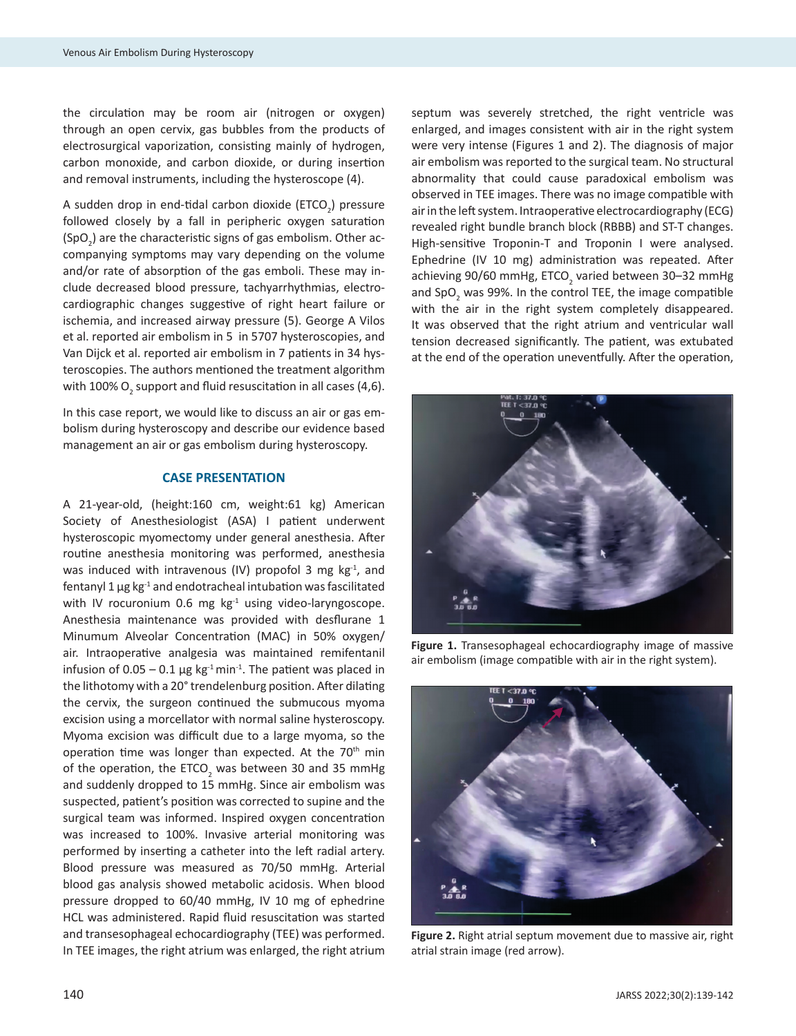the circulation may be room air (nitrogen or oxygen) through an open cervix, gas bubbles from the products of electrosurgical vaporization, consisting mainly of hydrogen, carbon monoxide, and carbon dioxide, or during insertion and removal instruments, including the hysteroscope (4).

A sudden drop in end-tidal carbon dioxide (ETCO $_2$ ) pressure followed closely by a fall in peripheric oxygen saturation  $(SpO<sub>2</sub>)$  are the characteristic signs of gas embolism. Other accompanying symptoms may vary depending on the volume and/or rate of absorption of the gas emboli. These may include decreased blood pressure, tachyarrhythmias, electrocardiographic changes suggestive of right heart failure or ischemia, and increased airway pressure (5). George A Vilos et al. reported air embolism in 5 in 5707 hysteroscopies, and Van Dijck et al. reported air embolism in 7 patients in 34 hysteroscopies. The authors mentioned the treatment algorithm with 100%  ${\sf O}_{_{2}}$  support and fluid resuscitation in all cases (4,6).

In this case report, we would like to discuss an air or gas embolism during hysteroscopy and describe our evidence based management an air or gas embolism during hysteroscopy.

#### **CASE PRESENTATION**

A 21-year-old, (height:160 cm, weight:61 kg) American Society of Anesthesiologist (ASA) I patient underwent hysteroscopic myomectomy under general anesthesia. After routine anesthesia monitoring was performed, anesthesia was induced with intravenous (IV) propofol 3 mg  $kg<sup>-1</sup>$ , and fentanyl 1  $\mu$ g kg<sup>-1</sup> and endotracheal intubation was fascilitated with IV rocuronium 0.6 mg  $kg<sup>-1</sup>$  using video-laryngoscope. Anesthesia maintenance was provided with desflurane 1 Minumum Alveolar Concentration (MAC) in 50% oxygen/ air. Intraoperative analgesia was maintained remifentanil infusion of  $0.05 - 0.1$  µg kg<sup>-1</sup> min<sup>-1</sup>. The patient was placed in the lithotomy with a 20° trendelenburg position. After dilating the cervix, the surgeon continued the submucous myoma excision using a morcellator with normal saline hysteroscopy. Myoma excision was difficult due to a large myoma, so the operation time was longer than expected. At the  $70<sup>th</sup>$  min of the operation, the ETCO<sub>2</sub> was between 30 and 35 mmHg and suddenly dropped to 15 mmHg. Since air embolism was suspected, patient's position was corrected to supine and the surgical team was informed. Inspired oxygen concentration was increased to 100%. Invasive arterial monitoring was performed by inserting a catheter into the left radial artery. Blood pressure was measured as 70/50 mmHg. Arterial blood gas analysis showed metabolic acidosis. When blood pressure dropped to 60/40 mmHg, IV 10 mg of ephedrine HCL was administered. Rapid fluid resuscitation was started and transesophageal echocardiography (TEE) was performed. In TEE images, the right atrium was enlarged, the right atrium

septum was severely stretched, the right ventricle was enlarged, and images consistent with air in the right system were very intense (Figures 1 and 2). The diagnosis of major air embolism was reported to the surgical team. No structural abnormality that could cause paradoxical embolism was observed in TEE images. There was no image compatible with air in the left system. Intraoperative electrocardiography (ECG) revealed right bundle branch block (RBBB) and ST-T changes. High-sensitive Troponin-T and Troponin I were analysed. Ephedrine (IV 10 mg) administration was repeated. After achieving 90/60 mmHg, ETCO<sub>2</sub> varied between 30–32 mmHg and SpO<sub>2</sub> was 99%. In the control TEE, the image compatible with the air in the right system completely disappeared. It was observed that the right atrium and ventricular wall tension decreased significantly. The patient, was extubated at the end of the operation uneventfully. After the operation,



**Figure 1.** Transesophageal echocardiography image of massive air embolism (image compatible with air in the right system).



**Figure 2.** Right atrial septum movement due to massive air, right atrial strain image (red arrow).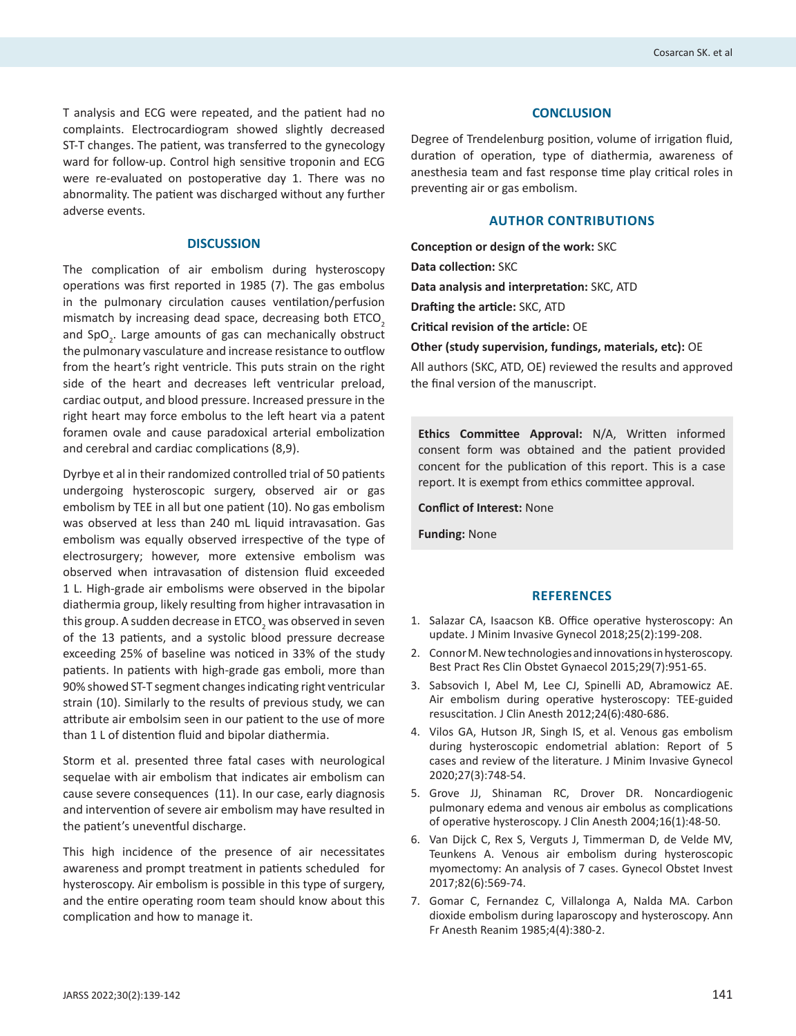T analysis and ECG were repeated, and the patient had no complaints. Electrocardiogram showed slightly decreased ST-T changes. The patient, was transferred to the gynecology ward for follow-up. Control high sensitive troponin and ECG were re-evaluated on postoperative day 1. There was no abnormality. The patient was discharged without any further adverse events.

#### **DISCUSSION**

The complication of air embolism during hysteroscopy operations was first reported in 1985 (7). The gas embolus in the pulmonary circulation causes ventilation/perfusion mismatch by increasing dead space, decreasing both ETCO<sub>2</sub> and SpO<sub>2</sub>. Large amounts of gas can mechanically obstruct the pulmonary vasculature and increase resistance to outflow from the heart's right ventricle. This puts strain on the right side of the heart and decreases left ventricular preload, cardiac output, and blood pressure. Increased pressure in the right heart may force embolus to the left heart via a patent foramen ovale and cause paradoxical arterial embolization and cerebral and cardiac complications (8,9).

Dyrbye et al in their randomized controlled trial of 50 patients undergoing hysteroscopic surgery, observed air or gas embolism by TEE in all but one patient (10). No gas embolism was observed at less than 240 mL liquid intravasation. Gas embolism was equally observed irrespective of the type of electrosurgery; however, more extensive embolism was observed when intravasation of distension fluid exceeded 1 L. High-grade air embolisms were observed in the bipolar diathermia group, likely resulting from higher intravasation in this group. A sudden decrease in ETCO<sub>2</sub> was observed in seven of the 13 patients, and a systolic blood pressure decrease exceeding 25% of baseline was noticed in 33% of the study patients. In patients with high-grade gas emboli, more than 90% showed ST-T segment changes indicating right ventricular strain (10). Similarly to the results of previous study, we can attribute air embolsim seen in our patient to the use of more than 1 L of distention fluid and bipolar diathermia.

Storm et al. presented three fatal cases with neurological sequelae with air embolism that indicates air embolism can cause severe consequences (11). In our case, early diagnosis and intervention of severe air embolism may have resulted in the patient's uneventful discharge.

This high incidence of the presence of air necessitates awareness and prompt treatment in patients scheduled for hysteroscopy. Air embolism is possible in this type of surgery, and the entire operating room team should know about this complication and how to manage it.

#### **CONCLUSION**

Degree of Trendelenburg position, volume of irrigation fluid, duration of operation, type of diathermia, awareness of anesthesia team and fast response time play critical roles in preventing air or gas embolism.

#### **AUTHOR CONTRIBUTIONS**

**Conception or design of the work:** SKC **Data collection:** SKC **Data analysis and interpretation:** SKC, ATD **Drafting the article:** SKC, ATD **Critical revision of the article:** OE **Other (study supervision, fundings, materials, etc):** OE All authors (SKC, ATD, OE) reviewed the results and approved the final version of the manuscript.

**Ethics Committee Approval:** N/A, Written informed consent form was obtained and the patient provided concent for the publication of this report. This is a case report. It is exempt from ethics committee approval.

**Conflict of Interest:** None

**Funding:** None

#### **REFERENCES**

- 1. Salazar CA, Isaacson KB. Office operative hysteroscopy: An update. J Minim Invasive Gynecol 2018;25(2):199-208.
- 2. Connor M. New technologies and innovations in hysteroscopy. Best Pract Res Clin Obstet Gynaecol 2015;29(7):951-65.
- 3. Sabsovich I, Abel M, Lee CJ, Spinelli AD, Abramowicz AE. Air embolism during operative hysteroscopy: TEE-guided resuscitation. J Clin Anesth 2012;24(6):480-686.
- 4. Vilos GA, Hutson JR, Singh IS, et al. Venous gas embolism during hysteroscopic endometrial ablation: Report of 5 cases and review of the literature. J Minim Invasive Gynecol 2020;27(3):748-54.
- 5. Grove JJ, Shinaman RC, Drover DR. Noncardiogenic pulmonary edema and venous air embolus as complications of operative hysteroscopy. J Clin Anesth 2004;16(1):48-50.
- 6. Van Dijck C, Rex S, Verguts J, Timmerman D, de Velde MV, Teunkens A. Venous air embolism during hysteroscopic myomectomy: An analysis of 7 cases. Gynecol Obstet Invest 2017;82(6):569-74.
- 7. Gomar C, Fernandez C, Villalonga A, Nalda MA. Carbon dioxide embolism during laparoscopy and hysteroscopy. Ann Fr Anesth Reanim 1985;4(4):380-2.